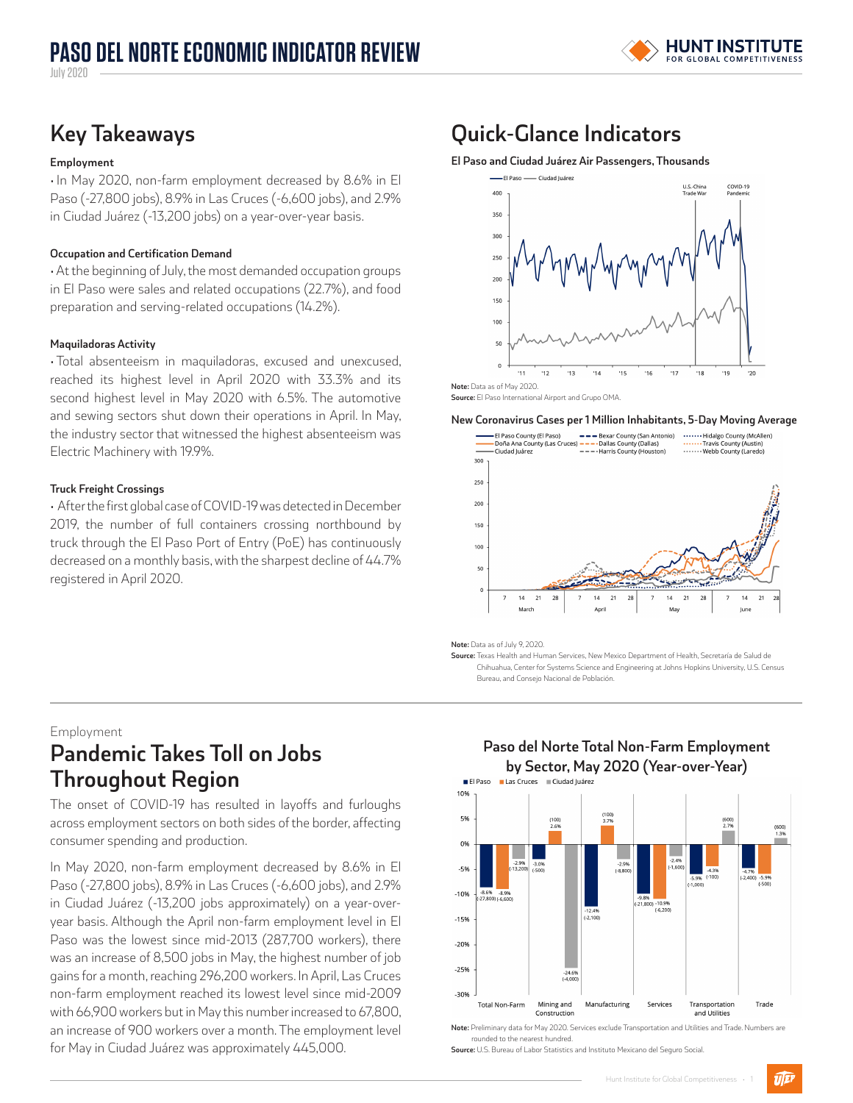**Key Takeaways**

## **Employment**

• In May 2020, non-farm employment decreased by 8.6% in El Paso (-27,800 jobs), 8.9% in Las Cruces (-6,600 jobs), and 2.9% in Ciudad Juárez (-13,200 jobs) on a year-over-year basis.

## **Occupation and Certification Demand**

• At the beginning of July, the most demanded occupation groups in El Paso were sales and related occupations (22.7%), and food preparation and serving-related occupations (14.2%).

## **Maquiladoras Activity**

• Total absenteeism in maquiladoras, excused and unexcused, reached its highest level in April 2020 with 33.3% and its second highest level in May 2020 with 6.5%. The automotive and sewing sectors shut down their operations in April. In May, the industry sector that witnessed the highest absenteeism was Electric Machinery with 19.9%.

## **Truck Freight Crossings**

• After the first global case of COVID-19 was detected in December 2019, the number of full containers crossing northbound by truck through the El Paso Port of Entry (PoE) has continuously decreased on a monthly basis, with the sharpest decline of 44.7% registered in April 2020.

# **Quick-Glance Indicators**

**El Paso and Ciudad Juárez Air Passengers, Thousands**



**Source:** El Paso International Airport and Grupo OMA.

#### **New Coronavirus Cases per 1 Million Inhabitants, 5-Day Moving Average**



**Note:** Data as of July 9, 2020.

**Source:** Texas Health and Human Services, New Mexico Department of Health, Secretaría de Salud de Chihuahua, Center for Systems Science and Engineering at Johns Hopkins University, U.S. Census Bureau, and Consejo Nacional de Población.

## Employment

# **Pandemic Takes Toll on Jobs Throughout Region**

The onset of COVID-19 has resulted in layoffs and furloughs across employment sectors on both sides of the border, affecting consumer spending and production.

In May 2020, non-farm employment decreased by 8.6% in El Paso (-27,800 jobs), 8.9% in Las Cruces (-6,600 jobs), and 2.9% in Ciudad Juárez (-13,200 jobs approximately) on a year-overyear basis. Although the April non-farm employment level in El Paso was the lowest since mid-2013 (287,700 workers), there was an increase of 8,500 jobs in May, the highest number of job gains for a month, reaching 296,200 workers. In April, Las Cruces non-farm employment reached its lowest level since mid-2009 with 66,900 workers but in May this number increased to 67,800, an increase of 900 workers over a month. The employment level for May in Ciudad Juárez was approximately 445,000.



# **Paso del Norte Total Non-Farm Employment**

**Note:** Preliminary data for May 2020. Services exclude Transportation and Utilities and Trade. Numbers are rounded to the nearest hundred.

**Source:** U.S. Bureau of Labor Statistics and Instituto Mexicano del Seguro Social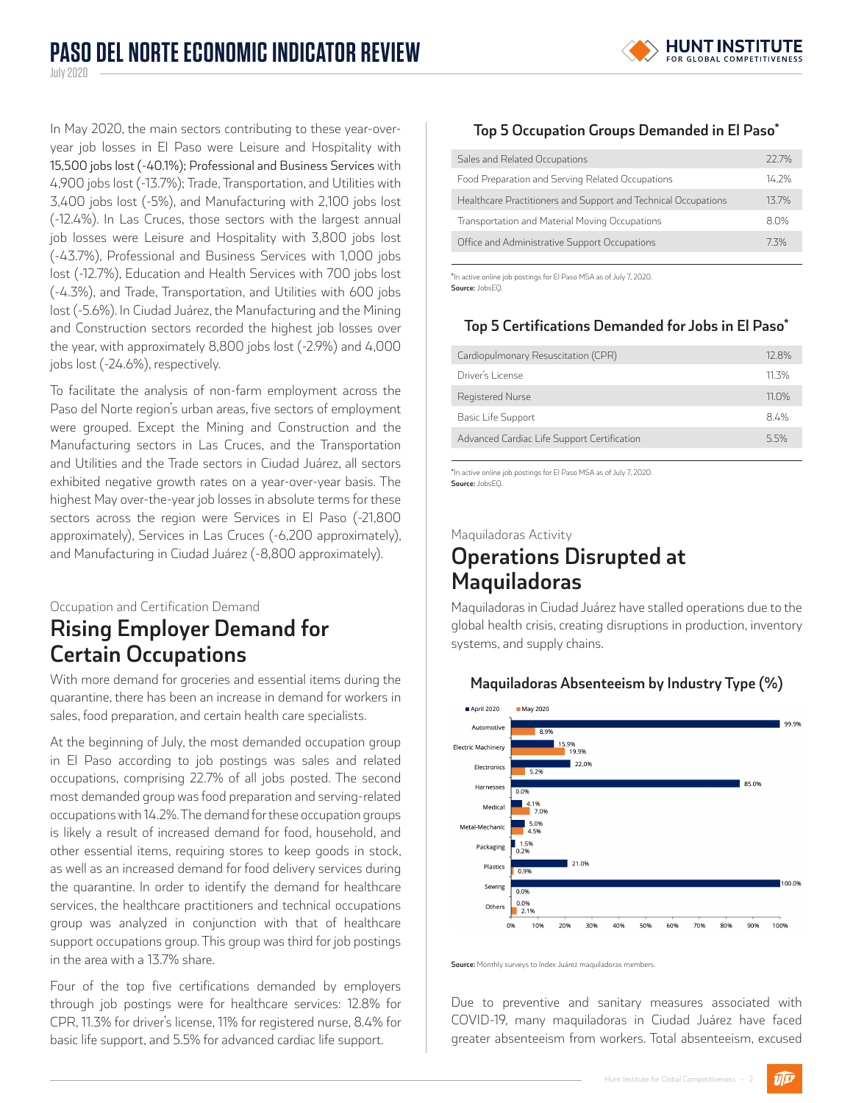

In May 2020, the main sectors contributing to these year-overyear job losses in El Paso were Leisure and Hospitality with 15,500 jobs lost (-40.1%); Professional and Business Services with 4,900 jobs lost (-13.7%); Trade, Transportation, and Utilities with 3,400 jobs lost (-5%), and Manufacturing with 2,100 jobs lost (-12.4%). In Las Cruces, those sectors with the largest annual job losses were Leisure and Hospitality with 3,800 jobs lost (-43.7%), Professional and Business Services with 1,000 jobs lost (-12.7%), Education and Health Services with 700 jobs lost (-4.3%), and Trade, Transportation, and Utilities with 600 jobs lost (-5.6%). In Ciudad Juárez, the Manufacturing and the Mining and Construction sectors recorded the highest job losses over the year, with approximately 8,800 jobs lost (-2.9%) and 4,000 jobs lost (-24.6%), respectively.

To facilitate the analysis of non-farm employment across the Paso del Norte region's urban areas, five sectors of employment were grouped. Except the Mining and Construction and the Manufacturing sectors in Las Cruces, and the Transportation and Utilities and the Trade sectors in Ciudad Juárez, all sectors exhibited negative growth rates on a year-over-year basis. The highest May over-the-year job losses in absolute terms for these sectors across the region were Services in El Paso (-21,800 approximately), Services in Las Cruces (-6,200 approximately), and Manufacturing in Ciudad Juárez (-8,800 approximately).

## Occupation and Certification Demand **Rising Employer Demand for Certain Occupations**

With more demand for groceries and essential items during the quarantine, there has been an increase in demand for workers in sales, food preparation, and certain health care specialists.

At the beginning of July, the most demanded occupation group in El Paso according to job postings was sales and related occupations, comprising 22.7% of all jobs posted. The second most demanded group was food preparation and serving-related occupations with 14.2%. The demand for these occupation groups is likely a result of increased demand for food, household, and other essential items, requiring stores to keep goods in stock, as well as an increased demand for food delivery services during the quarantine. In order to identify the demand for healthcare services, the healthcare practitioners and technical occupations group was analyzed in conjunction with that of healthcare support occupations group. This group was third for job postings in the area with a 13.7% share.

Four of the top five certifications demanded by employers through job postings were for healthcare services: 12.8% for CPR, 11.3% for driver's license, 11% for registered nurse, 8.4% for basic life support, and 5.5% for advanced cardiac life support.

## **Top 5 Occupation Groups Demanded in El Paso\***

| Sales and Related Occupations                                  | 22.7% |
|----------------------------------------------------------------|-------|
| Food Preparation and Serving Related Occupations               | 14.2% |
| Healthcare Practitioners and Support and Technical Occupations | 137%  |
| Transportation and Material Moving Occupations                 | 80%   |
| Office and Administrative Support Occupations                  | 73%   |

**\***In active online job postings for El Paso MSA as of July 7, 2020. **Source:** JobsEQ.

## **Top 5 Certifications Demanded for Jobs in El Paso\***

| 12.8% |
|-------|
| 11 3% |
| 11.0% |
| 8.4%  |
| 55%   |
|       |

**\***In active online job postings for El Paso MSA as of July 7, 2020. **Source:** JobsEQ.

Maquiladoras Activity

# **Operations Disrupted at Maquiladoras**

Maquiladoras in Ciudad Juárez have stalled operations due to the global health crisis, creating disruptions in production, inventory systems, and supply chains.



**Maquiladoras Absenteeism by Industry Type (%)**

**Source:** Monthly surveys to Index Juárez maquiladoras members.

Due to preventive and sanitary measures associated with COVID-19, many maquiladoras in Ciudad Juárez have faced greater absenteeism from workers. Total absenteeism, excused